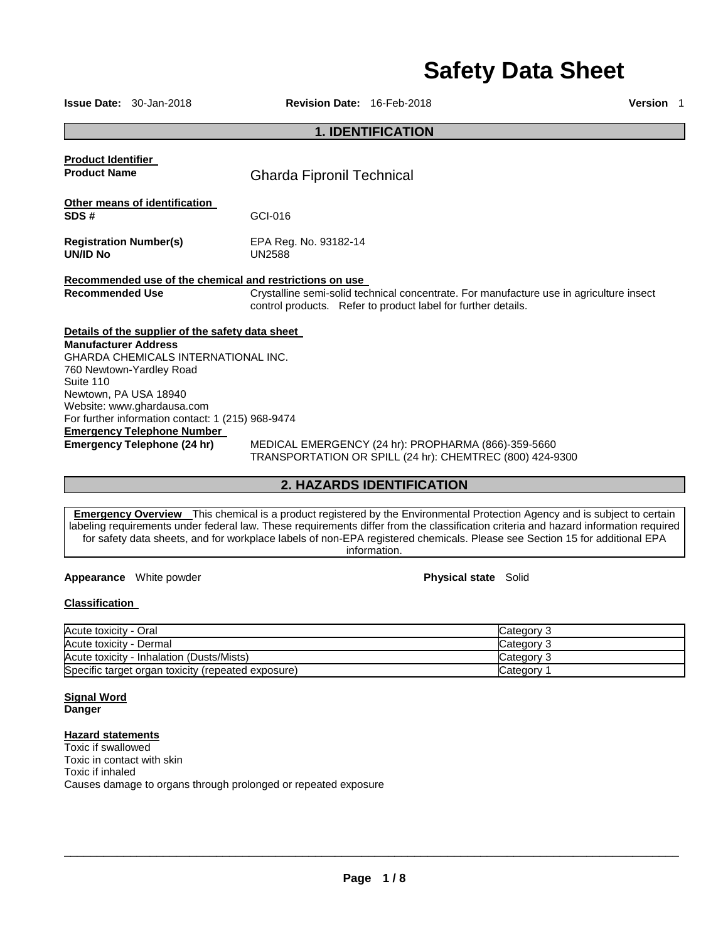# **Safety Data Sheet**

**Issue Date:** 30-Jan-2018 **Revision Date:** 16-Feb-2018 **Version** 1

### **1. IDENTIFICATION**

| <b>Product Identifier</b>                               |                                                                                                                                                          |
|---------------------------------------------------------|----------------------------------------------------------------------------------------------------------------------------------------------------------|
| <b>Product Name</b>                                     | <b>Gharda Fipronil Technical</b>                                                                                                                         |
| Other means of identification                           |                                                                                                                                                          |
| SDS#                                                    | GCI-016                                                                                                                                                  |
| <b>Registration Number(s)</b><br><b>UN/ID No</b>        | EPA Reg. No. 93182-14<br><b>UN2588</b>                                                                                                                   |
| Recommended use of the chemical and restrictions on use |                                                                                                                                                          |
| <b>Recommended Use</b>                                  | Crystalline semi-solid technical concentrate. For manufacture use in agriculture insect<br>control products. Refer to product label for further details. |
| Details of the supplier of the safety data sheet        |                                                                                                                                                          |
| <b>Manufacturer Address</b>                             |                                                                                                                                                          |
| <b>GHARDA CHEMICALS INTERNATIONAL INC.</b>              |                                                                                                                                                          |
| 760 Newtown-Yardley Road                                |                                                                                                                                                          |
| Suite 110                                               |                                                                                                                                                          |
| Newtown, PA USA 18940                                   |                                                                                                                                                          |
| Website: www.ghardausa.com                              |                                                                                                                                                          |
| For further information contact: 1 (215) 968-9474       |                                                                                                                                                          |
| <b>Emergency Telephone Number</b>                       |                                                                                                                                                          |
| Emergency Telephone (24 hr)                             | MEDICAL EMERGENCY (24 hr): PROPHARMA (866)-359-5660<br>TRANSPORTATION OR SPILL (24 hr): CHEMTREC (800) 424-9300                                          |

**2. HAZARDS IDENTIFICATION** 

**Emergency Overview** This chemical is a product registered by the Environmental Protection Agency and is subject to certain labeling requirements under federal law. These requirements differ from the classification criteria and hazard information required for safety data sheets, and for workplace labels of non-EPA registered chemicals. Please see Section 15 for additional EPA information.

**Appearance** White powder **Physical state Solid Physical state Solid** 

### **Classification**

| Acute toxicity - Oral                              | Category 3 |
|----------------------------------------------------|------------|
| Acute toxicity - Dermal                            | Category 3 |
| Acute toxicity - Inhalation (Dusts/Mists)          | Category 3 |
| Specific target organ toxicity (repeated exposure) | Category   |

### **Signal Word Danger**

### **Hazard statements**

Toxic if swallowed Toxic in contact with skin Toxic if inhaled Causes damage to organs through prolonged or repeated exposure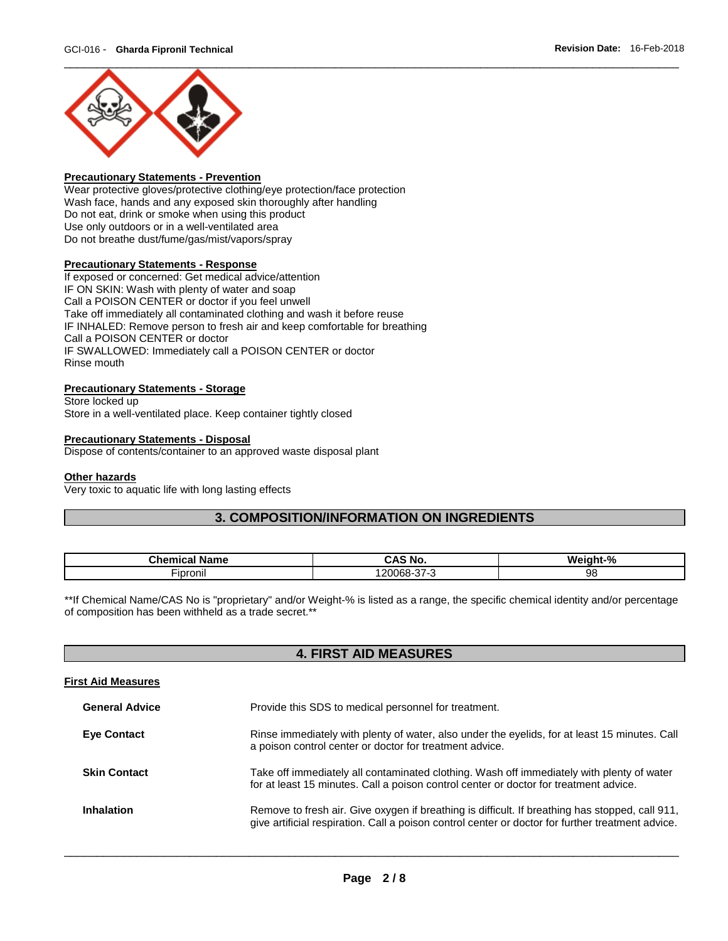

### **Precautionary Statements - Prevention**

Wear protective gloves/protective clothing/eye protection/face protection Wash face, hands and any exposed skin thoroughly after handling Do not eat, drink or smoke when using this product Use only outdoors or in a well-ventilated area Do not breathe dust/fume/gas/mist/vapors/spray

### **Precautionary Statements - Response**

If exposed or concerned: Get medical advice/attention IF ON SKIN: Wash with plenty of water and soap Call a POISON CENTER or doctor if you feel unwell Take off immediately all contaminated clothing and wash it before reuse IF INHALED: Remove person to fresh air and keep comfortable for breathing Call a POISON CENTER or doctor IF SWALLOWED: Immediately call a POISON CENTER or doctor Rinse mouth

### **Precautionary Statements - Storage**

Store locked up Store in a well-ventilated place. Keep container tightly closed

#### **Precautionary Statements - Disposal**

Dispose of contents/container to an approved waste disposal plant

#### **Other hazards**

Very toxic to aquatic life with long lasting effects

### **3. COMPOSITION/INFORMATION ON INGREDIENTS**

| .<br><b>Name</b><br>пьа | $\Lambda$ C<br>No                     | $n+10$<br>W۵<br>חו<br>n |
|-------------------------|---------------------------------------|-------------------------|
| --<br><br>'-ipronil     | $\sim$ $-$<br>,,,,<br>u<br>-ססע<br>ູ, | 98                      |

\*\*If Chemical Name/CAS No is "proprietary" and/or Weight-% is listed as a range, the specific chemical identity and/or percentage of composition has been withheld as a trade secret.\*\*

### **4. FIRST AID MEASURES**

### **First Aid Measures**

| <b>General Advice</b> | Provide this SDS to medical personnel for treatment.                                                                                                                                                 |
|-----------------------|------------------------------------------------------------------------------------------------------------------------------------------------------------------------------------------------------|
| <b>Eye Contact</b>    | Rinse immediately with plenty of water, also under the eyelids, for at least 15 minutes. Call<br>a poison control center or doctor for treatment advice.                                             |
| <b>Skin Contact</b>   | Take off immediately all contaminated clothing. Wash off immediately with plenty of water<br>for at least 15 minutes. Call a poison control center or doctor for treatment advice.                   |
| <b>Inhalation</b>     | Remove to fresh air. Give oxygen if breathing is difficult. If breathing has stopped, call 911,<br>give artificial respiration. Call a poison control center or doctor for further treatment advice. |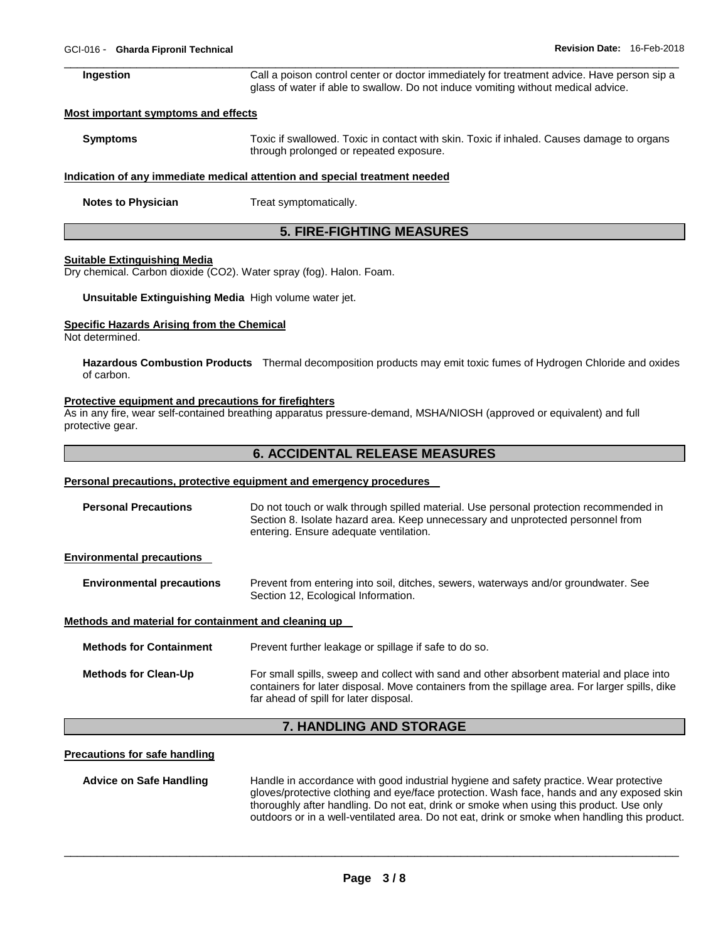| Ingestion | Call a poison control center or doctor immediately for treatment advice. Have person sip a |
|-----------|--------------------------------------------------------------------------------------------|
|           | glass of water if able to swallow. Do not induce vomiting without medical advice.          |

#### **Most important symptoms and effects**

| <b>Symptoms</b> | Toxic if swallowed. Toxic in contact with skin. Toxic if inhaled. Causes damage to organs |
|-----------------|-------------------------------------------------------------------------------------------|
|                 | through prolonged or repeated exposure.                                                   |

### **Indication of any immediate medical attention and special treatment needed**

**Notes to Physician Treat symptomatically.** 

### **5. FIRE-FIGHTING MEASURES**

#### **Suitable Extinguishing Media**

Dry chemical. Carbon dioxide (CO2). Water spray (fog). Halon. Foam.

**Unsuitable Extinguishing Media** High volume water jet.

#### **Specific Hazards Arising from the Chemical**

Not determined.

**Hazardous Combustion Products** Thermal decomposition products may emit toxic fumes of Hydrogen Chloride and oxides of carbon.

#### **Protective equipment and precautions for firefighters**

As in any fire, wear self-contained breathing apparatus pressure-demand, MSHA/NIOSH (approved or equivalent) and full protective gear.

### **6. ACCIDENTAL RELEASE MEASURES**

#### **Personal precautions, protective equipment and emergency procedures**

| <b>Personal Precautions</b>                          | Do not touch or walk through spilled material. Use personal protection recommended in<br>Section 8. Isolate hazard area. Keep unnecessary and unprotected personnel from<br>entering. Ensure adequate ventilation.                    |
|------------------------------------------------------|---------------------------------------------------------------------------------------------------------------------------------------------------------------------------------------------------------------------------------------|
| <b>Environmental precautions</b>                     |                                                                                                                                                                                                                                       |
| <b>Environmental precautions</b>                     | Prevent from entering into soil, ditches, sewers, waterways and/or groundwater. See<br>Section 12, Ecological Information.                                                                                                            |
| Methods and material for containment and cleaning up |                                                                                                                                                                                                                                       |
| <b>Methods for Containment</b>                       | Prevent further leakage or spillage if safe to do so.                                                                                                                                                                                 |
| <b>Methods for Clean-Up</b>                          | For small spills, sweep and collect with sand and other absorbent material and place into<br>containers for later disposal. Move containers from the spillage area. For larger spills, dike<br>far ahead of spill for later disposal. |

### **7. HANDLING AND STORAGE**

#### **Precautions for safe handling**

**Advice on Safe Handling** Handle in accordance with good industrial hygiene and safety practice. Wear protective gloves/protective clothing and eye/face protection. Wash face, hands and any exposed skin thoroughly after handling. Do not eat, drink or smoke when using this product. Use only outdoors or in a well-ventilated area. Do not eat, drink or smoke when handling this product.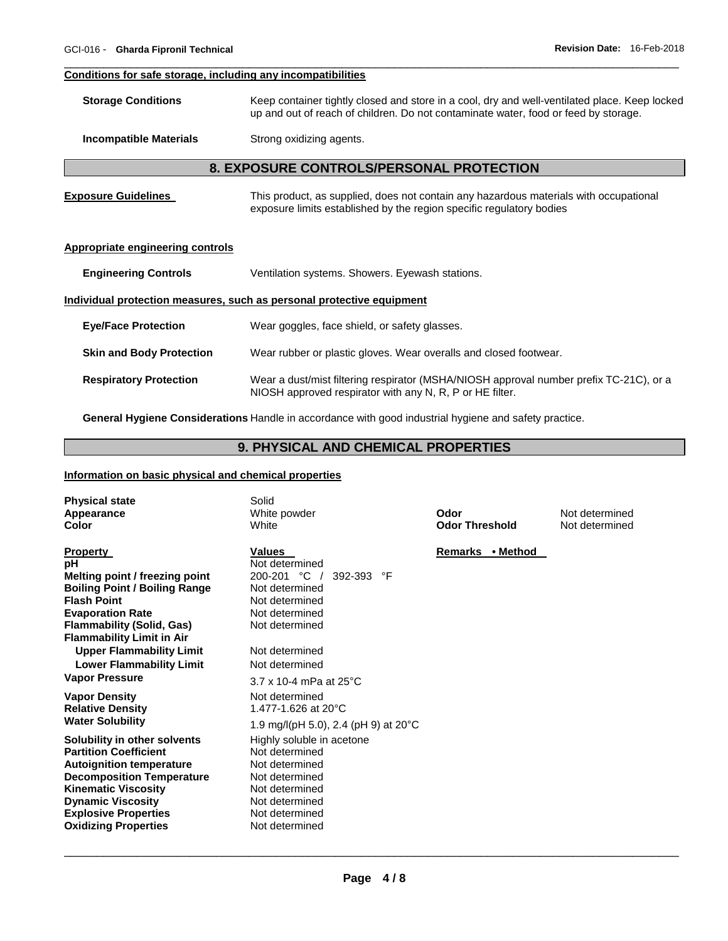#### \_\_\_\_\_\_\_\_\_\_\_\_\_\_\_\_\_\_\_\_\_\_\_\_\_\_\_\_\_\_\_\_\_\_\_\_\_\_\_\_\_\_\_\_\_\_\_\_\_\_\_\_\_\_\_\_\_\_\_\_\_\_\_\_\_\_\_\_\_\_\_\_\_\_\_\_\_\_\_\_\_\_\_\_\_\_\_\_\_\_\_\_\_ **Conditions for safe storage, including any incompatibilities**

| <b>Storage Conditions</b> | Keep container tightly closed and store in a cool, dry and well-ventilated place. Keep locked |
|---------------------------|-----------------------------------------------------------------------------------------------|
|                           | up and out of reach of children. Do not contaminate water, food or feed by storage.           |
|                           |                                                                                               |

**Incompatible Materials Strong oxidizing agents.** 

### **8. EXPOSURE CONTROLS/PERSONAL PROTECTION**

| <b>Exposure Guidelines</b> | This product, as supplied, does not contain any hazardous materials with occupational |
|----------------------------|---------------------------------------------------------------------------------------|
|                            | exposure limits established by the region specific regulatory bodies                  |

### **Appropriate engineering controls**

**Engineering Controls** Ventilation systems. Showers. Eyewash stations.

### **Individual protection measures, such as personal protective equipment**

| <b>Eve/Face Protection</b>      | Wear goggles, face shield, or safety glasses.                                                                                                      |
|---------------------------------|----------------------------------------------------------------------------------------------------------------------------------------------------|
| <b>Skin and Body Protection</b> | Wear rubber or plastic gloves. Wear overalls and closed footwear.                                                                                  |
| <b>Respiratory Protection</b>   | Wear a dust/mist filtering respirator (MSHA/NIOSH approval number prefix TC-21C), or a<br>NIOSH approved respirator with any N, R, P or HE filter. |

**General Hygiene Considerations** Handle in accordance with good industrial hygiene and safety practice.

### **9. PHYSICAL AND CHEMICAL PROPERTIES**

### **Information on basic physical and chemical properties**

| <b>Physical state</b><br>Appearance<br>Color                                                                                                                                                                                                                | Solid<br>White powder<br>White                                                                                                                          | Odor<br><b>Odor Threshold</b> | Not determined<br>Not determined |
|-------------------------------------------------------------------------------------------------------------------------------------------------------------------------------------------------------------------------------------------------------------|---------------------------------------------------------------------------------------------------------------------------------------------------------|-------------------------------|----------------------------------|
| <b>Property</b><br>рH<br>Melting point / freezing point<br><b>Boiling Point / Boiling Range</b><br><b>Flash Point</b><br><b>Evaporation Rate</b><br><b>Flammability (Solid, Gas)</b><br><b>Flammability Limit in Air</b>                                    | Values<br>Not determined<br>200-201 °C<br>392-393<br>°F<br>Not determined<br>Not determined<br>Not determined<br>Not determined                         | Remarks • Method              |                                  |
| <b>Upper Flammability Limit</b><br><b>Lower Flammability Limit</b><br><b>Vapor Pressure</b>                                                                                                                                                                 | Not determined<br>Not determined<br>$3.7 \times 10$ -4 mPa at 25°C                                                                                      |                               |                                  |
| <b>Vapor Density</b><br><b>Relative Density</b><br><b>Water Solubility</b>                                                                                                                                                                                  | Not determined<br>1.477-1.626 at 20°C<br>1.9 mg/l(pH 5.0), 2.4 (pH 9) at 20 °C                                                                          |                               |                                  |
| Solubility in other solvents<br><b>Partition Coefficient</b><br><b>Autoignition temperature</b><br><b>Decomposition Temperature</b><br><b>Kinematic Viscosity</b><br><b>Dynamic Viscosity</b><br><b>Explosive Properties</b><br><b>Oxidizing Properties</b> | Highly soluble in acetone<br>Not determined<br>Not determined<br>Not determined<br>Not determined<br>Not determined<br>Not determined<br>Not determined |                               |                                  |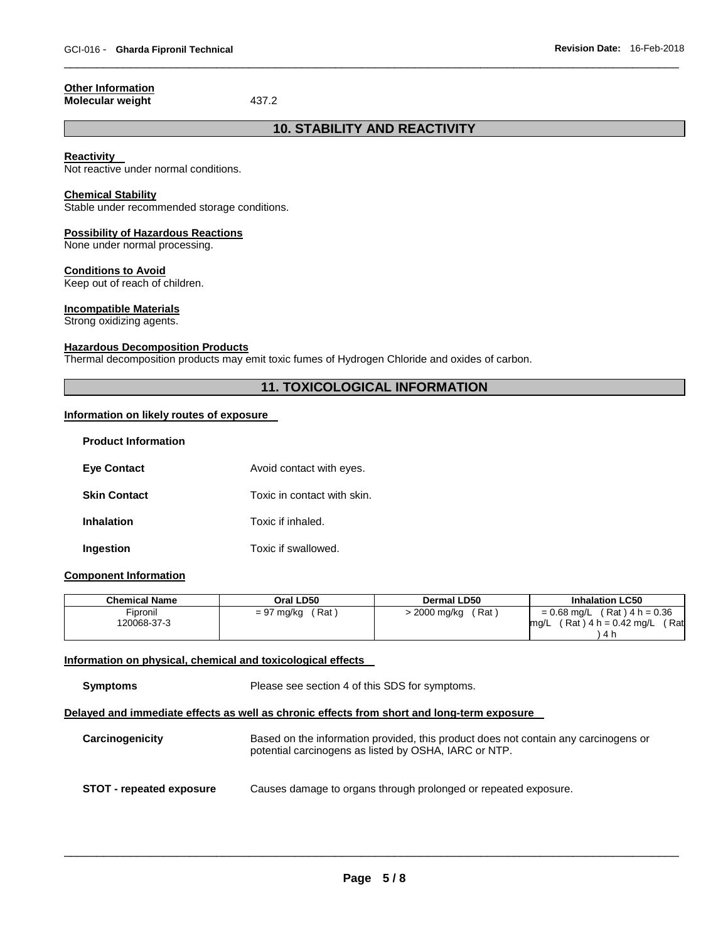#### **Other Information Molecular weight 437.2**

## **10. STABILITY AND REACTIVITY**

\_\_\_\_\_\_\_\_\_\_\_\_\_\_\_\_\_\_\_\_\_\_\_\_\_\_\_\_\_\_\_\_\_\_\_\_\_\_\_\_\_\_\_\_\_\_\_\_\_\_\_\_\_\_\_\_\_\_\_\_\_\_\_\_\_\_\_\_\_\_\_\_\_\_\_\_\_\_\_\_\_\_\_\_\_\_\_\_\_\_\_\_\_

### **Reactivity**

Not reactive under normal conditions.

### **Chemical Stability**

Stable under recommended storage conditions.

### **Possibility of Hazardous Reactions**

None under normal processing.

### **Conditions to Avoid**

Keep out of reach of children.

### **Incompatible Materials**

Strong oxidizing agents.

### **Hazardous Decomposition Products**

Thermal decomposition products may emit toxic fumes of Hydrogen Chloride and oxides of carbon.

### **11. TOXICOLOGICAL INFORMATION**

### **Information on likely routes of exposure**

| <b>Product Information</b> |                             |
|----------------------------|-----------------------------|
| <b>Eye Contact</b>         | Avoid contact with eyes.    |
| <b>Skin Contact</b>        | Toxic in contact with skin. |
| <b>Inhalation</b>          | Toxic if inhaled.           |
| Ingestion                  | Toxic if swallowed.         |

### **Component Information**

| <b>Chemical Name</b>    | Oral LD50           | Dermal LD50             | <b>Inhalation LC50</b>                                                        |
|-------------------------|---------------------|-------------------------|-------------------------------------------------------------------------------|
| Fipronil<br>120068-37-3 | Rat<br>$= 97$ mg/kg | ์ Rat ∶<br>> 2000 mg/kg | $= 0.68$ mg/L (Rat) 4 h = 0.36<br>(Rat ) 4 h = 0.42 mg/L<br>Rat<br>ma/L<br>Δr |

### **Information on physical, chemical and toxicological effects**

**Symptoms** Please see section 4 of this SDS for symptoms.

### **Delayed and immediate effects as well as chronic effects from short and long-term exposure**

**Carcinogenicity** Based on the information provided, this product does not contain any carcinogens or potential carcinogens as listed by OSHA, IARC or NTP. **STOT - repeated exposure** Causes damage to organs through prolonged or repeated exposure.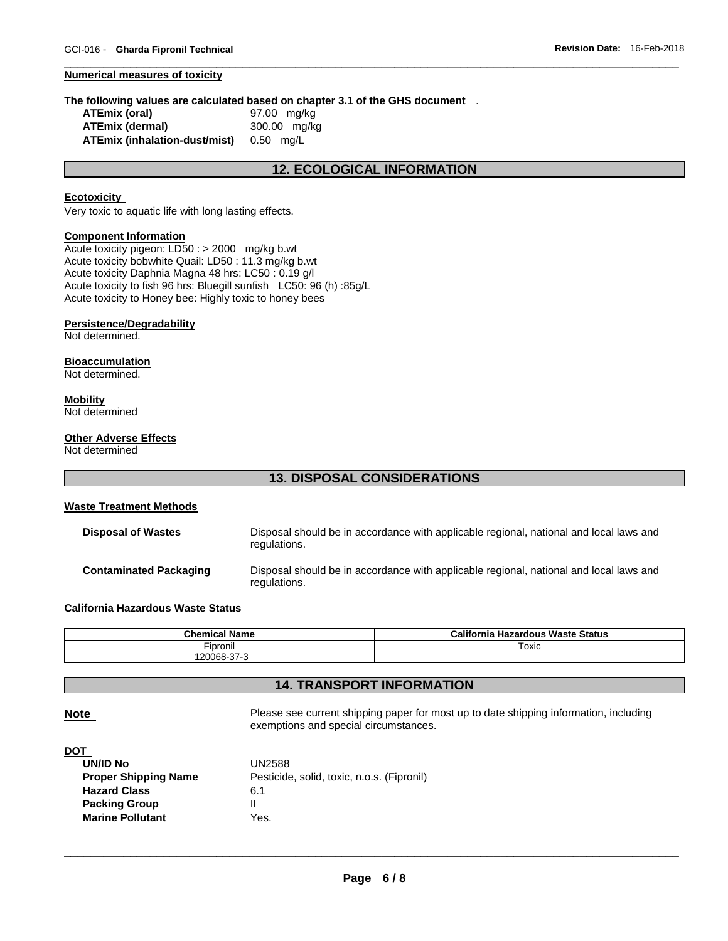#### **Numerical measures of toxicity**

#### **The following values are calculated based on chapter 3.1 of the GHS document** .

| ATEmix (oral)                           | 97.00 mg/kg  |
|-----------------------------------------|--------------|
| <b>ATEmix (dermal)</b>                  | 300.00 mg/kg |
| ATEmix (inhalation-dust/mist) 0.50 mg/L |              |

### **12. ECOLOGICAL INFORMATION**

\_\_\_\_\_\_\_\_\_\_\_\_\_\_\_\_\_\_\_\_\_\_\_\_\_\_\_\_\_\_\_\_\_\_\_\_\_\_\_\_\_\_\_\_\_\_\_\_\_\_\_\_\_\_\_\_\_\_\_\_\_\_\_\_\_\_\_\_\_\_\_\_\_\_\_\_\_\_\_\_\_\_\_\_\_\_\_\_\_\_\_\_\_

### **Ecotoxicity**

Very toxic to aquatic life with long lasting effects.

#### **Component Information**

Acute toxicity pigeon: LD50 : > 2000 mg/kg b.wt Acute toxicity bobwhite Quail: LD50 : 11.3 mg/kg b.wt Acute toxicity Daphnia Magna 48 hrs: LC50 : 0.19 g/l Acute toxicity to fish 96 hrs: Bluegill sunfish LC50: 96 (h) :85g/L Acute toxicity to Honey bee: Highly toxic to honey bees

#### **Persistence/Degradability**

Not determined.

### **Bioaccumulation**

Not determined.

#### **Mobility**

Not determined

### **Other Adverse Effects**

Not determined

### **13. DISPOSAL CONSIDERATIONS**

| Waste Treatment Methods       |                                                                                                        |
|-------------------------------|--------------------------------------------------------------------------------------------------------|
| <b>Disposal of Wastes</b>     | Disposal should be in accordance with applicable regional, national and local laws and<br>regulations. |
| <b>Contaminated Packaging</b> | Disposal should be in accordance with applicable regional, national and local laws and                 |

### **California Hazardous Waste Status**

| <b>Chemical Name</b> | California Hazardous Waste Status |  |  |
|----------------------|-----------------------------------|--|--|
| Fipronil             | Toxic                             |  |  |
| '20068-37-3          |                                   |  |  |

### **14. TRANSPORT INFORMATION**

**Note Please see current shipping paper for most up to date shipping information, including vertiles** exemptions and special circumstances.

### **DOT**

| UN/ID No                    | <b>UN2588</b>                              |
|-----------------------------|--------------------------------------------|
| <b>Proper Shipping Name</b> | Pesticide, solid, toxic, n.o.s. (Fipronil) |
| <b>Hazard Class</b>         | 6.1                                        |
| <b>Packing Group</b>        |                                            |
| <b>Marine Pollutant</b>     | Yes.                                       |
|                             |                                            |

regulations.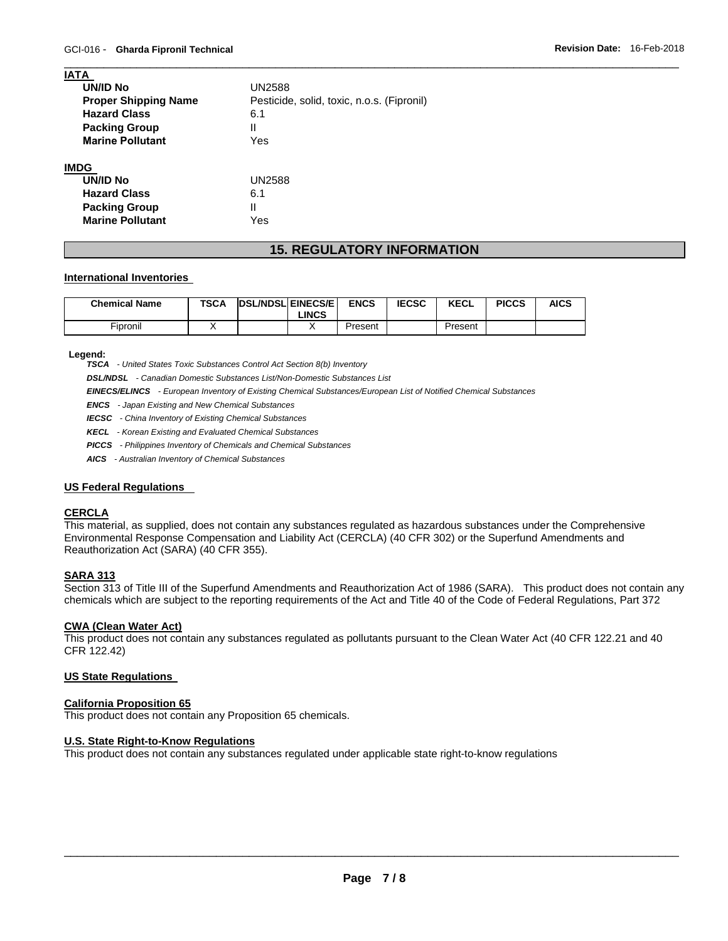| <b>IATA</b>                 |                                            |
|-----------------------------|--------------------------------------------|
| UN/ID No                    | <b>UN2588</b>                              |
| <b>Proper Shipping Name</b> | Pesticide, solid, toxic, n.o.s. (Fipronil) |
| <b>Hazard Class</b>         | 6.1                                        |
| <b>Packing Group</b>        | Ш                                          |
| <b>Marine Pollutant</b>     | Yes                                        |
| <b>IMDG</b>                 |                                            |
| <b>UN/ID No</b>             | UN2588                                     |
| <b>Hazard Class</b>         | 6.1                                        |
| <b>Packing Group</b>        | Ш                                          |
| <b>Marine Pollutant</b>     | Yes                                        |

## **15. REGULATORY INFORMATION**

\_\_\_\_\_\_\_\_\_\_\_\_\_\_\_\_\_\_\_\_\_\_\_\_\_\_\_\_\_\_\_\_\_\_\_\_\_\_\_\_\_\_\_\_\_\_\_\_\_\_\_\_\_\_\_\_\_\_\_\_\_\_\_\_\_\_\_\_\_\_\_\_\_\_\_\_\_\_\_\_\_\_\_\_\_\_\_\_\_\_\_\_\_

### **International Inventories**

| <b>Chemical Name</b> | <b>TSCA</b> | <b>DSL/NDSLEINECS/EL</b> | <b>LINCS</b> | <b>ENCS</b> | <b>IECSC</b> | <b>KECL</b> | <b>PICCS</b> | <b>AICS</b> |
|----------------------|-------------|--------------------------|--------------|-------------|--------------|-------------|--------------|-------------|
| Fipronil             |             |                          |              | Present     |              | Present     |              |             |

#### **Legend:**

*TSCA - United States Toxic Substances Control Act Section 8(b) Inventory* 

*DSL/NDSL - Canadian Domestic Substances List/Non-Domestic Substances List* 

*EINECS/ELINCS - European Inventory of Existing Chemical Substances/European List of Notified Chemical Substances* 

*ENCS - Japan Existing and New Chemical Substances* 

*IECSC - China Inventory of Existing Chemical Substances* 

*KECL - Korean Existing and Evaluated Chemical Substances* 

*PICCS - Philippines Inventory of Chemicals and Chemical Substances* 

*AICS - Australian Inventory of Chemical Substances* 

### **US Federal Regulations**

### **CERCLA**

This material, as supplied, does not contain any substances regulated as hazardous substances under the Comprehensive Environmental Response Compensation and Liability Act (CERCLA) (40 CFR 302) or the Superfund Amendments and Reauthorization Act (SARA) (40 CFR 355).

### **SARA 313**

Section 313 of Title III of the Superfund Amendments and Reauthorization Act of 1986 (SARA). This product does not contain any chemicals which are subject to the reporting requirements of the Act and Title 40 of the Code of Federal Regulations, Part 372

#### **CWA (Clean Water Act)**

This product does not contain any substances regulated as pollutants pursuant to the Clean Water Act (40 CFR 122.21 and 40 CFR 122.42)

#### **US State Regulations**

### **California Proposition 65**

This product does not contain any Proposition 65 chemicals.

### **U.S. State Right-to-Know Regulations**

This product does not contain any substances regulated under applicable state right-to-know regulations